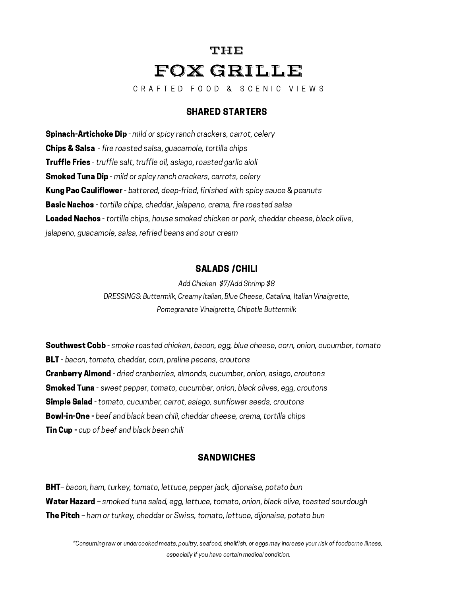# THE FOX GRILLE

C R A F T E D F O O D & S C E N I C V I E W S

# SHARED STARTERS

Spinach-Artichoke Dip - mild or spicy ranch crackers, carrot, celery Chips & Salsa - fire roasted salsa, guacamole, tortilla chips Truffle Fries - truffle salt, truffle oil, asiago, roasted garlic aioli **Smoked Tuna Dip** - mild or spicy ranch crackers, carrots, celery **Kung Pao Cauliflower** - battered, deep-fried, finished with spicy sauce & peanuts Basic Nachos - tortilla chips, cheddar, jalapeno, crema, fire roasted salsa Loaded Nachos - tortilla chips, house smoked chicken or pork, cheddar cheese, black olive, jalapeno, guacamole, salsa, refried beans and sour cream

# SALADS /CHILI

Add Chicken \$7/Add Shrimp \$8 DRESSINGS: Buttermilk, Creamy Italian, Blue Cheese, Catalina, Italian Vinaigrette, Pomegranate Vinaigrette, Chipotle Buttermilk

**Southwest Cobb** - smoke roasted chicken, bacon, egg, blue cheese, corn, onion, cucumber, tomato **BLT** - bacon, tomato, cheddar, corn, praline pecans, croutons **Cranberry Almond** - dried cranberries, almonds, cucumber, onion, asiago, croutons **Smoked Tuna** - sweet pepper, tomato, cucumber, onion, black olives, egg, croutons **Simple Salad** - tomato, cucumber, carrot, asiago, sunflower seeds, croutons **Bowl-in-One -** beef and black bean chili, cheddar cheese, crema, tortilla chips **Tin Cup -** cup of beef and black bean chili

# SANDWICHES

BHT-bacon, ham, turkey, tomato, lettuce, pepper jack, dijonaise, potato bun Water Hazard – smoked tuna salad, egg, lettuce, tomato, onion, black olive, toasted sourdough The Pitch - ham or turkey, cheddar or Swiss, tomato, lettuce, dijonaise, potato bun

\*Consuming raw or undercooked meats, poultry, seafood, shellfish, or eggs may increase your risk of foodborne illness, especially if you have certain medical condition.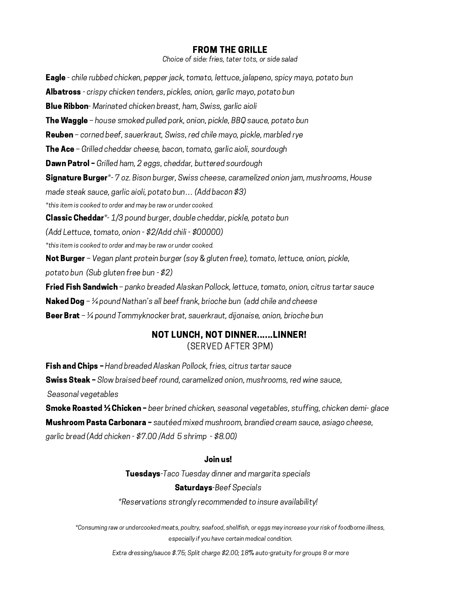#### FROM THE GRILLE

Choice of side: fries, tater tots, or side salad

Eagle - chile rubbed chicken, pepper jack, tomato, lettuce, jalapeno, spicy mayo, potato bun Albatross - crispy chicken tenders, pickles, onion, garlic mayo, potato bun **Blue Ribbon**- Marinated chicken breast, ham, Swiss, garlic aioli **The Waggle** – house smoked pulled pork, onion, pickle, BBQ sauce, potato bun Reuben – corned beef, sauerkraut, Swiss, red chile mayo, pickle, marbled rye The Ace - Grilled cheddar cheese, bacon, tomato, garlic aioli, sourdough **Dawn Patrol -** Grilled ham, 2 eggs, cheddar, buttered sourdough Signature Burger\*- 7 oz. Bison burger, Swiss cheese, caramelized onion jam, mushrooms, House made steak sauce, garlic aioli, potato bun… (Add bacon \$3) \*this item is cooked to order and may be raw or under cooked. **Classic Cheddar**\*-1/3 pound burger, double cheddar, pickle, potato bun (Add Lettuce, tomato, onion - \$2/Add chili - \$00000) \*this item is cooked to order and may be raw or under cooked. Not Burger - Vegan plant protein burger (soy & gluten free), tomato, lettuce, onion, pickle, potato bun (Sub gluten free bun - \$2) Fried Fish Sandwich - panko breaded Alaskan Pollock, lettuce, tomato, onion, citrus tartar sauce **Naked Dog** –  $\frac{1}{4}$  pound Nathan's all beef frank, brioche bun (add chile and cheese Beer Brat –  $\frac{1}{4}$  pound Tommyknocker brat, sauerkraut, dijonaise, onion, brioche bun

# NOT LUNCH, NOT DINNER......LINNER! (SERVED AFTER 3PM)

Fish and Chips - Hand breaded Alaskan Pollock, fries, citrus tartar sauce Swiss Steak - Slow braised beef round, caramelized onion, mushrooms, red wine sauce, Seasonal vegetables

Smoke Roasted ½ Chicken - beer brined chicken, seasonal vegetables, stuffing, chicken demi- glace **Mushroom Pasta Carbonara -** sautéed mixed mushroom, brandied cream sauce, asiago cheese, garlic bread (Add chicken - \$7.00 /Add 5 shrimp - \$8.00)

#### Join us!

**Tuesdays**-Taco Tuesday dinner and margarita specials Saturdays-Beef Specials

\*Reservations strongly recommended to insure availability!

\*Consuming raw or undercooked meats, poultry, seafood, shellfish, or eggs may increase your risk of foodborne illness, especially if you have certain medical condition.

Extra dressing/sauce \$.75; Split charge \$2.00; 18% auto-gratuity for groups 8 or more